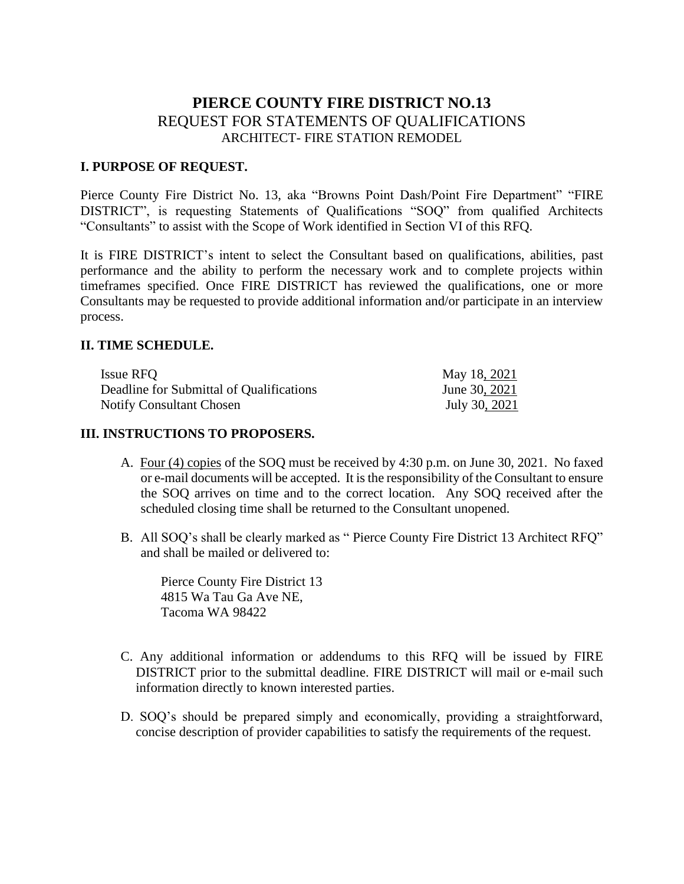# **PIERCE COUNTY FIRE DISTRICT NO.13** REQUEST FOR STATEMENTS OF QUALIFICATIONS ARCHITECT- FIRE STATION REMODEL

#### **I. PURPOSE OF REQUEST.**

Pierce County Fire District No. 13, aka "Browns Point Dash/Point Fire Department" "FIRE DISTRICT", is requesting Statements of Qualifications "SOQ" from qualified Architects "Consultants" to assist with the Scope of Work identified in Section VI of this RFQ.

It is FIRE DISTRICT's intent to select the Consultant based on qualifications, abilities, past performance and the ability to perform the necessary work and to complete projects within timeframes specified. Once FIRE DISTRICT has reviewed the qualifications, one or more Consultants may be requested to provide additional information and/or participate in an interview process.

#### **II. TIME SCHEDULE.**

| Issue RFO                                | May 18, 2021  |
|------------------------------------------|---------------|
| Deadline for Submittal of Qualifications | June 30, 2021 |
| <b>Notify Consultant Chosen</b>          | July 30, 2021 |

#### **III. INSTRUCTIONS TO PROPOSERS.**

- A. Four (4) copies of the SOQ must be received by 4:30 p.m. on June 30, 2021. No faxed or e-mail documents will be accepted. It is the responsibility of the Consultant to ensure the SOQ arrives on time and to the correct location. Any SOQ received after the scheduled closing time shall be returned to the Consultant unopened.
- B. All SOQ's shall be clearly marked as " Pierce County Fire District 13 Architect RFQ" and shall be mailed or delivered to:

Pierce County Fire District 13 4815 Wa Tau Ga Ave NE, Tacoma WA 98422

- C. Any additional information or addendums to this RFQ will be issued by FIRE DISTRICT prior to the submittal deadline. FIRE DISTRICT will mail or e-mail such information directly to known interested parties.
- D. SOQ's should be prepared simply and economically, providing a straightforward, concise description of provider capabilities to satisfy the requirements of the request.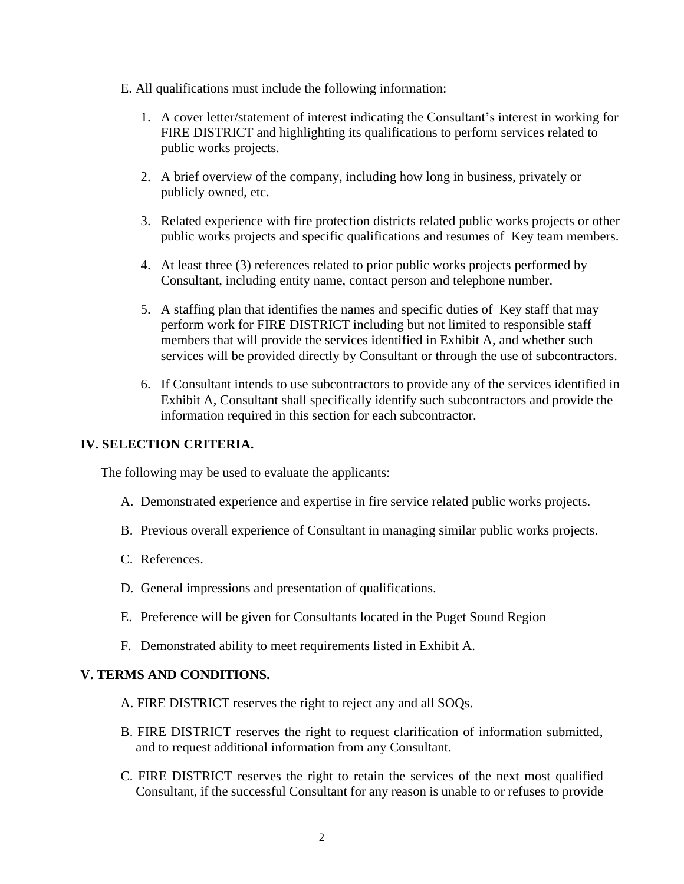- E. All qualifications must include the following information:
	- 1. A cover letter/statement of interest indicating the Consultant's interest in working for FIRE DISTRICT and highlighting its qualifications to perform services related to public works projects.
	- 2. A brief overview of the company, including how long in business, privately or publicly owned, etc.
	- 3. Related experience with fire protection districts related public works projects or other public works projects and specific qualifications and resumes of Key team members.
	- 4. At least three (3) references related to prior public works projects performed by Consultant, including entity name, contact person and telephone number.
	- 5. A staffing plan that identifies the names and specific duties of Key staff that may perform work for FIRE DISTRICT including but not limited to responsible staff members that will provide the services identified in Exhibit A, and whether such services will be provided directly by Consultant or through the use of subcontractors.
	- 6. If Consultant intends to use subcontractors to provide any of the services identified in Exhibit A, Consultant shall specifically identify such subcontractors and provide the information required in this section for each subcontractor.

## **IV. SELECTION CRITERIA.**

The following may be used to evaluate the applicants:

- A. Demonstrated experience and expertise in fire service related public works projects.
- B. Previous overall experience of Consultant in managing similar public works projects.
- C. References.
- D. General impressions and presentation of qualifications.
- E. Preference will be given for Consultants located in the Puget Sound Region
- F. Demonstrated ability to meet requirements listed in Exhibit A.

## **V. TERMS AND CONDITIONS.**

- A. FIRE DISTRICT reserves the right to reject any and all SOQs.
- B. FIRE DISTRICT reserves the right to request clarification of information submitted, and to request additional information from any Consultant.
- C. FIRE DISTRICT reserves the right to retain the services of the next most qualified Consultant, if the successful Consultant for any reason is unable to or refuses to provide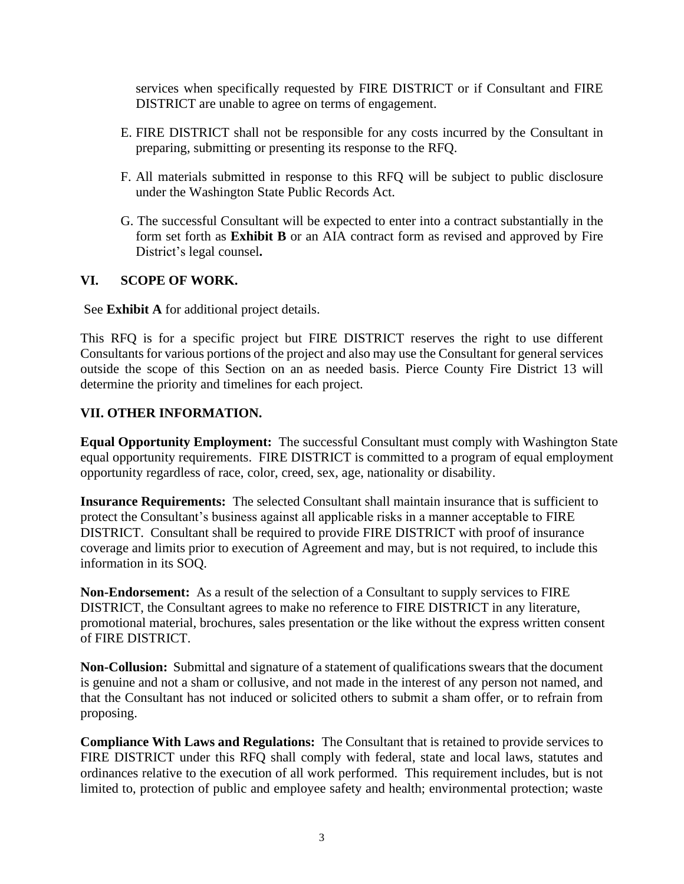services when specifically requested by FIRE DISTRICT or if Consultant and FIRE DISTRICT are unable to agree on terms of engagement.

- E. FIRE DISTRICT shall not be responsible for any costs incurred by the Consultant in preparing, submitting or presenting its response to the RFQ.
- F. All materials submitted in response to this RFQ will be subject to public disclosure under the Washington State Public Records Act.
- G. The successful Consultant will be expected to enter into a contract substantially in the form set forth as **Exhibit B** or an AIA contract form as revised and approved by Fire District's legal counsel**.**

#### **VI. SCOPE OF WORK.**

See **Exhibit A** for additional project details.

This RFQ is for a specific project but FIRE DISTRICT reserves the right to use different Consultants for various portions of the project and also may use the Consultant for general services outside the scope of this Section on an as needed basis. Pierce County Fire District 13 will determine the priority and timelines for each project.

#### **VII. OTHER INFORMATION.**

**Equal Opportunity Employment:** The successful Consultant must comply with Washington State equal opportunity requirements. FIRE DISTRICT is committed to a program of equal employment opportunity regardless of race, color, creed, sex, age, nationality or disability.

**Insurance Requirements:** The selected Consultant shall maintain insurance that is sufficient to protect the Consultant's business against all applicable risks in a manner acceptable to FIRE DISTRICT. Consultant shall be required to provide FIRE DISTRICT with proof of insurance coverage and limits prior to execution of Agreement and may, but is not required, to include this information in its SOQ.

**Non-Endorsement:** As a result of the selection of a Consultant to supply services to FIRE DISTRICT, the Consultant agrees to make no reference to FIRE DISTRICT in any literature, promotional material, brochures, sales presentation or the like without the express written consent of FIRE DISTRICT.

**Non-Collusion:** Submittal and signature of a statement of qualifications swears that the document is genuine and not a sham or collusive, and not made in the interest of any person not named, and that the Consultant has not induced or solicited others to submit a sham offer, or to refrain from proposing.

**Compliance With Laws and Regulations:** The Consultant that is retained to provide services to FIRE DISTRICT under this RFQ shall comply with federal, state and local laws, statutes and ordinances relative to the execution of all work performed. This requirement includes, but is not limited to, protection of public and employee safety and health; environmental protection; waste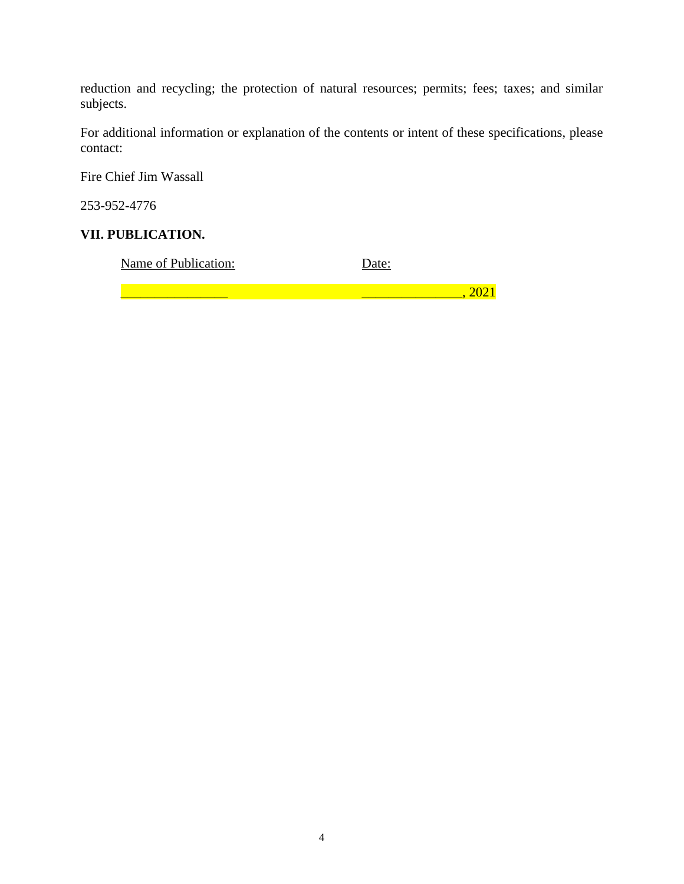reduction and recycling; the protection of natural resources; permits; fees; taxes; and similar subjects.

For additional information or explanation of the contents or intent of these specifications, please contact:

Fire Chief Jim Wassall

253-952-4776

### **VII. PUBLICATION.**

Name of Publication: Date:

 $\frac{1}{2}$  , 2021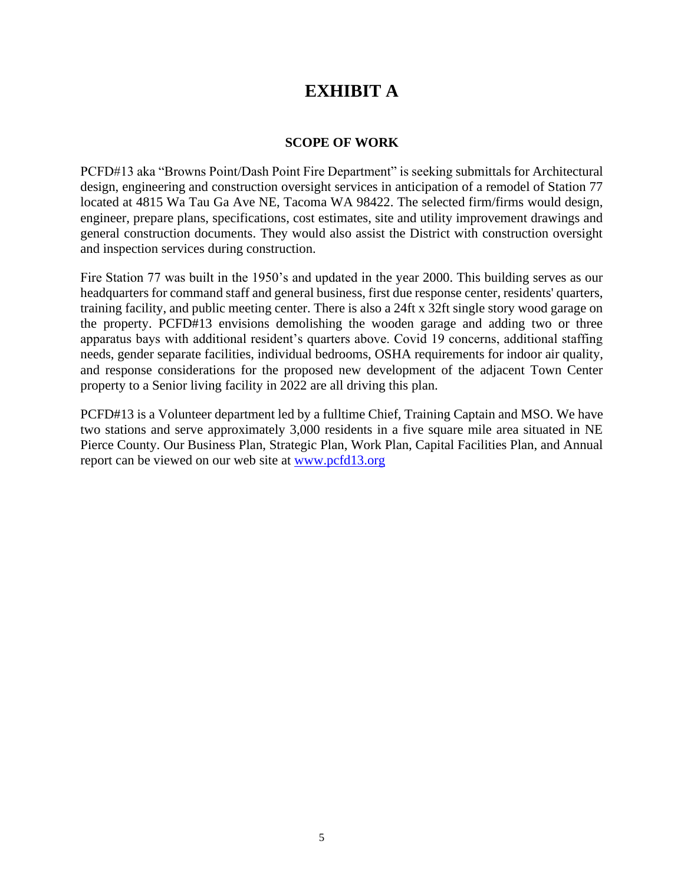# **EXHIBIT A**

#### **SCOPE OF WORK**

PCFD#13 aka "Browns Point/Dash Point Fire Department" is seeking submittals for Architectural design, engineering and construction oversight services in anticipation of a remodel of Station 77 located at 4815 Wa Tau Ga Ave NE, Tacoma WA 98422. The selected firm/firms would design, engineer, prepare plans, specifications, cost estimates, site and utility improvement drawings and general construction documents. They would also assist the District with construction oversight and inspection services during construction.

Fire Station 77 was built in the 1950's and updated in the year 2000. This building serves as our headquarters for command staff and general business, first due response center, residents' quarters, training facility, and public meeting center. There is also a 24ft x 32ft single story wood garage on the property. PCFD#13 envisions demolishing the wooden garage and adding two or three apparatus bays with additional resident's quarters above. Covid 19 concerns, additional staffing needs, gender separate facilities, individual bedrooms, OSHA requirements for indoor air quality, and response considerations for the proposed new development of the adjacent Town Center property to a Senior living facility in 2022 are all driving this plan.

PCFD#13 is a Volunteer department led by a fulltime Chief, Training Captain and MSO. We have two stations and serve approximately 3,000 residents in a five square mile area situated in NE Pierce County. Our Business Plan, Strategic Plan, Work Plan, Capital Facilities Plan, and Annual report can be viewed on our web site at [www.pcfd13.org](http://www.pcfd13.org/)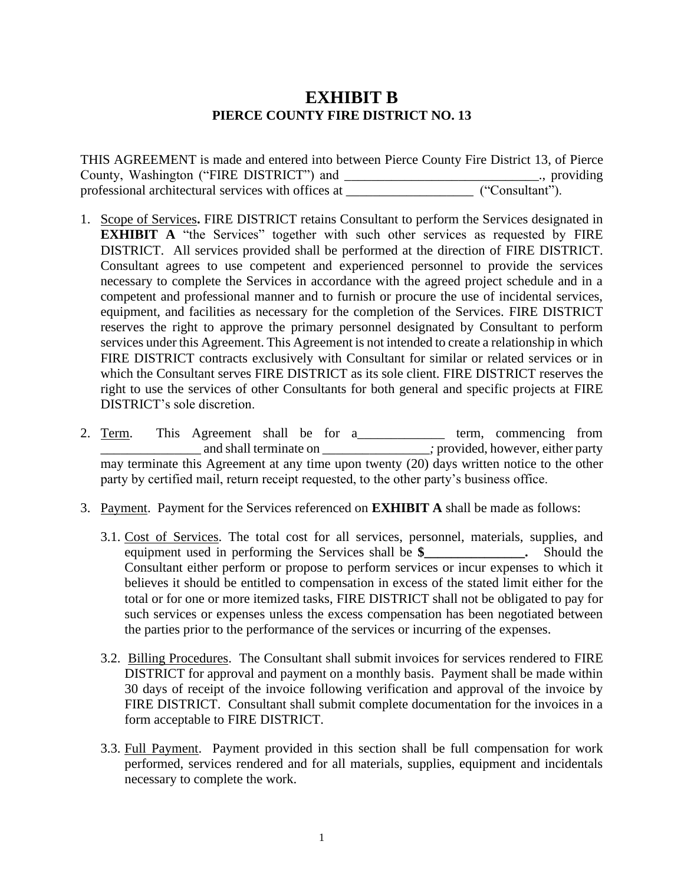# **EXHIBIT B PIERCE COUNTY FIRE DISTRICT NO. 13**

THIS AGREEMENT is made and entered into between Pierce County Fire District 13, of Pierce County, Washington ("FIRE DISTRICT") and \_\_\_\_\_\_\_\_\_\_\_\_\_\_\_\_\_\_\_\_\_\_\_\_\_\_\_\_\_., providing professional architectural services with offices at  $($ "Consultant").

- 1. Scope of Services**.** FIRE DISTRICT retains Consultant to perform the Services designated in **EXHIBIT A** "the Services" together with such other services as requested by FIRE DISTRICT. All services provided shall be performed at the direction of FIRE DISTRICT. Consultant agrees to use competent and experienced personnel to provide the services necessary to complete the Services in accordance with the agreed project schedule and in a competent and professional manner and to furnish or procure the use of incidental services, equipment, and facilities as necessary for the completion of the Services. FIRE DISTRICT reserves the right to approve the primary personnel designated by Consultant to perform services under this Agreement. This Agreement is not intended to create a relationship in which FIRE DISTRICT contracts exclusively with Consultant for similar or related services or in which the Consultant serves FIRE DISTRICT as its sole client. FIRE DISTRICT reserves the right to use the services of other Consultants for both general and specific projects at FIRE DISTRICT's sole discretion.
- 2. Term. This Agreement shall be for a\_\_\_\_\_\_\_\_\_\_\_\_\_\_ term, commencing from and shall terminate on \_\_\_\_\_\_\_\_\_\_\_\_\_\_\_\_\_\_\_\_; provided, however, either party may terminate this Agreement at any time upon twenty  $(20)$  days written notice to the other party by certified mail, return receipt requested, to the other party's business office.
- 3. Payment. Payment for the Services referenced on **EXHIBIT A** shall be made as follows:
	- 3.1. Cost of Services. The total cost for all services, personnel, materials, supplies, and equipment used in performing the Services shall be **\$\_\_\_\_\_\_\_\_\_\_\_\_\_\_\_.** Should the Consultant either perform or propose to perform services or incur expenses to which it believes it should be entitled to compensation in excess of the stated limit either for the total or for one or more itemized tasks, FIRE DISTRICT shall not be obligated to pay for such services or expenses unless the excess compensation has been negotiated between the parties prior to the performance of the services or incurring of the expenses.
	- 3.2. Billing Procedures. The Consultant shall submit invoices for services rendered to FIRE DISTRICT for approval and payment on a monthly basis. Payment shall be made within 30 days of receipt of the invoice following verification and approval of the invoice by FIRE DISTRICT. Consultant shall submit complete documentation for the invoices in a form acceptable to FIRE DISTRICT.
	- 3.3. Full Payment. Payment provided in this section shall be full compensation for work performed, services rendered and for all materials, supplies, equipment and incidentals necessary to complete the work.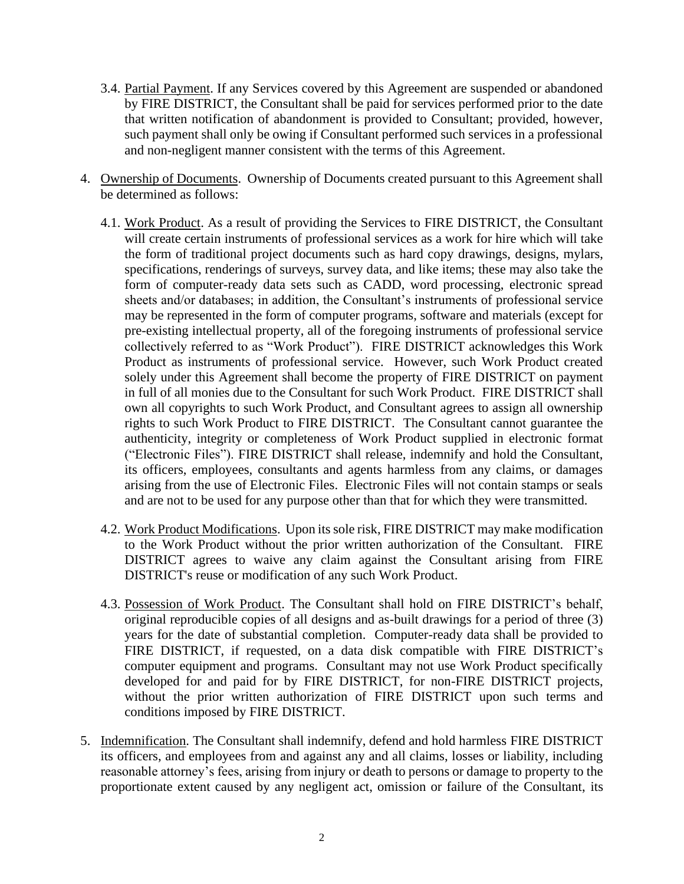- 3.4. Partial Payment. If any Services covered by this Agreement are suspended or abandoned by FIRE DISTRICT, the Consultant shall be paid for services performed prior to the date that written notification of abandonment is provided to Consultant; provided, however, such payment shall only be owing if Consultant performed such services in a professional and non-negligent manner consistent with the terms of this Agreement.
- 4. Ownership of Documents. Ownership of Documents created pursuant to this Agreement shall be determined as follows:
	- 4.1. Work Product. As a result of providing the Services to FIRE DISTRICT, the Consultant will create certain instruments of professional services as a work for hire which will take the form of traditional project documents such as hard copy drawings, designs, mylars, specifications, renderings of surveys, survey data, and like items; these may also take the form of computer-ready data sets such as CADD, word processing, electronic spread sheets and/or databases; in addition, the Consultant's instruments of professional service may be represented in the form of computer programs, software and materials (except for pre-existing intellectual property, all of the foregoing instruments of professional service collectively referred to as "Work Product"). FIRE DISTRICT acknowledges this Work Product as instruments of professional service. However, such Work Product created solely under this Agreement shall become the property of FIRE DISTRICT on payment in full of all monies due to the Consultant for such Work Product. FIRE DISTRICT shall own all copyrights to such Work Product, and Consultant agrees to assign all ownership rights to such Work Product to FIRE DISTRICT. The Consultant cannot guarantee the authenticity, integrity or completeness of Work Product supplied in electronic format ("Electronic Files"). FIRE DISTRICT shall release, indemnify and hold the Consultant, its officers, employees, consultants and agents harmless from any claims, or damages arising from the use of Electronic Files. Electronic Files will not contain stamps or seals and are not to be used for any purpose other than that for which they were transmitted.
	- 4.2. Work Product Modifications. Upon its sole risk, FIRE DISTRICT may make modification to the Work Product without the prior written authorization of the Consultant. FIRE DISTRICT agrees to waive any claim against the Consultant arising from FIRE DISTRICT's reuse or modification of any such Work Product.
	- 4.3. Possession of Work Product. The Consultant shall hold on FIRE DISTRICT's behalf, original reproducible copies of all designs and as-built drawings for a period of three (3) years for the date of substantial completion. Computer-ready data shall be provided to FIRE DISTRICT, if requested, on a data disk compatible with FIRE DISTRICT's computer equipment and programs. Consultant may not use Work Product specifically developed for and paid for by FIRE DISTRICT, for non-FIRE DISTRICT projects, without the prior written authorization of FIRE DISTRICT upon such terms and conditions imposed by FIRE DISTRICT.
- 5. Indemnification. The Consultant shall indemnify, defend and hold harmless FIRE DISTRICT its officers, and employees from and against any and all claims, losses or liability, including reasonable attorney's fees, arising from injury or death to persons or damage to property to the proportionate extent caused by any negligent act, omission or failure of the Consultant, its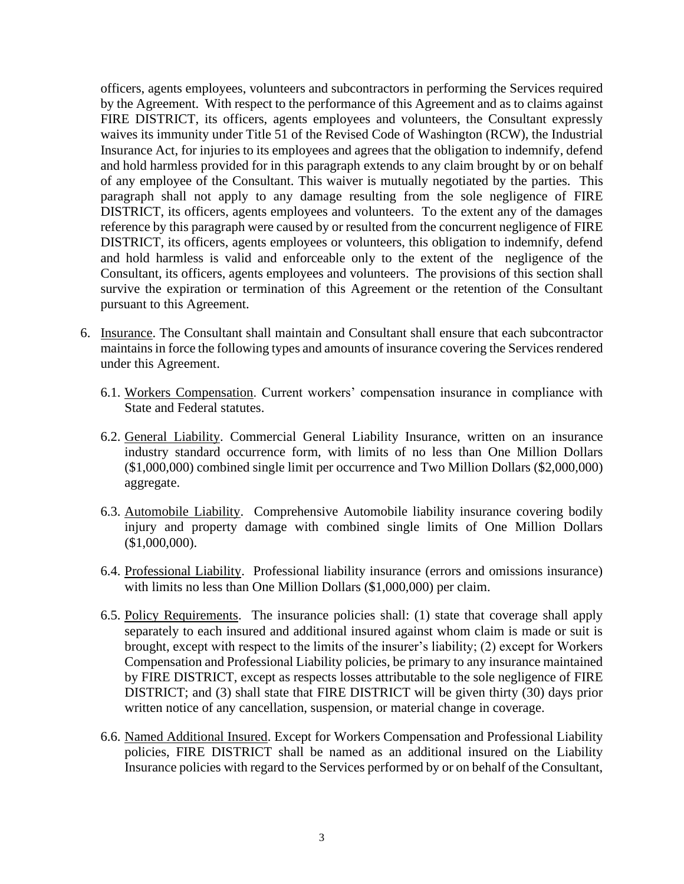officers, agents employees, volunteers and subcontractors in performing the Services required by the Agreement. With respect to the performance of this Agreement and as to claims against FIRE DISTRICT, its officers, agents employees and volunteers, the Consultant expressly waives its immunity under Title 51 of the Revised Code of Washington (RCW), the Industrial Insurance Act, for injuries to its employees and agrees that the obligation to indemnify, defend and hold harmless provided for in this paragraph extends to any claim brought by or on behalf of any employee of the Consultant. This waiver is mutually negotiated by the parties. This paragraph shall not apply to any damage resulting from the sole negligence of FIRE DISTRICT, its officers, agents employees and volunteers. To the extent any of the damages reference by this paragraph were caused by or resulted from the concurrent negligence of FIRE DISTRICT, its officers, agents employees or volunteers, this obligation to indemnify, defend and hold harmless is valid and enforceable only to the extent of the negligence of the Consultant, its officers, agents employees and volunteers. The provisions of this section shall survive the expiration or termination of this Agreement or the retention of the Consultant pursuant to this Agreement.

- 6. Insurance. The Consultant shall maintain and Consultant shall ensure that each subcontractor maintains in force the following types and amounts of insurance covering the Services rendered under this Agreement.
	- 6.1. Workers Compensation. Current workers' compensation insurance in compliance with State and Federal statutes.
	- 6.2. General Liability. Commercial General Liability Insurance, written on an insurance industry standard occurrence form, with limits of no less than One Million Dollars (\$1,000,000) combined single limit per occurrence and Two Million Dollars (\$2,000,000) aggregate.
	- 6.3. Automobile Liability. Comprehensive Automobile liability insurance covering bodily injury and property damage with combined single limits of One Million Dollars (\$1,000,000).
	- 6.4. Professional Liability. Professional liability insurance (errors and omissions insurance) with limits no less than One Million Dollars (\$1,000,000) per claim.
	- 6.5. Policy Requirements. The insurance policies shall: (1) state that coverage shall apply separately to each insured and additional insured against whom claim is made or suit is brought, except with respect to the limits of the insurer's liability; (2) except for Workers Compensation and Professional Liability policies, be primary to any insurance maintained by FIRE DISTRICT, except as respects losses attributable to the sole negligence of FIRE DISTRICT; and (3) shall state that FIRE DISTRICT will be given thirty (30) days prior written notice of any cancellation, suspension, or material change in coverage.
	- 6.6. Named Additional Insured. Except for Workers Compensation and Professional Liability policies, FIRE DISTRICT shall be named as an additional insured on the Liability Insurance policies with regard to the Services performed by or on behalf of the Consultant,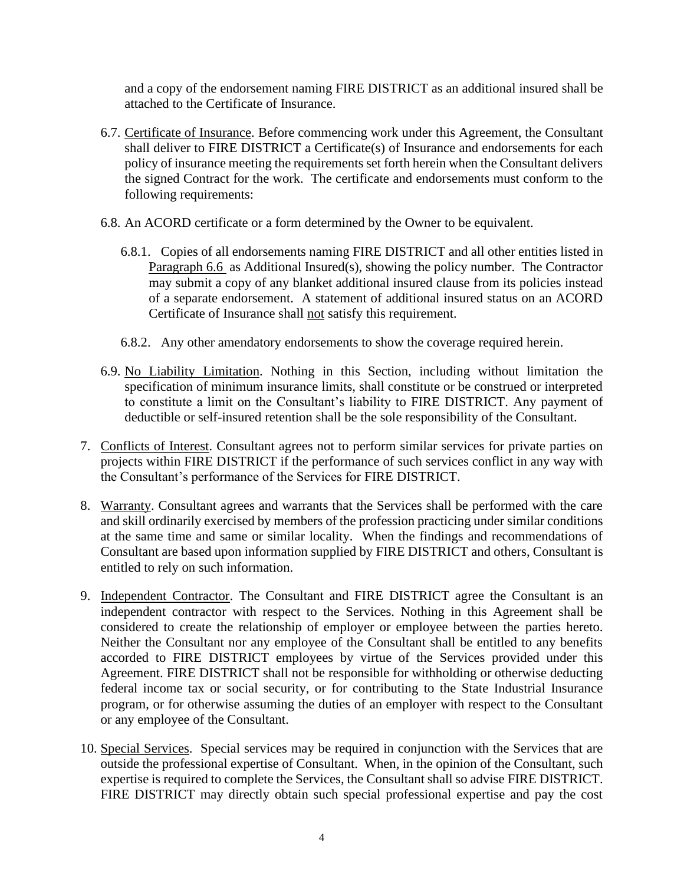and a copy of the endorsement naming FIRE DISTRICT as an additional insured shall be attached to the Certificate of Insurance.

- 6.7. Certificate of Insurance. Before commencing work under this Agreement, the Consultant shall deliver to FIRE DISTRICT a Certificate(s) of Insurance and endorsements for each policy of insurance meeting the requirements set forth herein when the Consultant delivers the signed Contract for the work. The certificate and endorsements must conform to the following requirements:
- 6.8. An ACORD certificate or a form determined by the Owner to be equivalent.
	- 6.8.1. Copies of all endorsements naming FIRE DISTRICT and all other entities listed in Paragraph 6.6 as Additional Insured(s), showing the policy number. The Contractor may submit a copy of any blanket additional insured clause from its policies instead of a separate endorsement. A statement of additional insured status on an ACORD Certificate of Insurance shall not satisfy this requirement.
	- 6.8.2. Any other amendatory endorsements to show the coverage required herein.
- 6.9. No Liability Limitation. Nothing in this Section, including without limitation the specification of minimum insurance limits, shall constitute or be construed or interpreted to constitute a limit on the Consultant's liability to FIRE DISTRICT. Any payment of deductible or self-insured retention shall be the sole responsibility of the Consultant.
- 7. Conflicts of Interest. Consultant agrees not to perform similar services for private parties on projects within FIRE DISTRICT if the performance of such services conflict in any way with the Consultant's performance of the Services for FIRE DISTRICT.
- 8. Warranty. Consultant agrees and warrants that the Services shall be performed with the care and skill ordinarily exercised by members of the profession practicing under similar conditions at the same time and same or similar locality. When the findings and recommendations of Consultant are based upon information supplied by FIRE DISTRICT and others, Consultant is entitled to rely on such information.
- 9. Independent Contractor. The Consultant and FIRE DISTRICT agree the Consultant is an independent contractor with respect to the Services. Nothing in this Agreement shall be considered to create the relationship of employer or employee between the parties hereto. Neither the Consultant nor any employee of the Consultant shall be entitled to any benefits accorded to FIRE DISTRICT employees by virtue of the Services provided under this Agreement. FIRE DISTRICT shall not be responsible for withholding or otherwise deducting federal income tax or social security, or for contributing to the State Industrial Insurance program, or for otherwise assuming the duties of an employer with respect to the Consultant or any employee of the Consultant.
- 10. Special Services. Special services may be required in conjunction with the Services that are outside the professional expertise of Consultant. When, in the opinion of the Consultant, such expertise is required to complete the Services, the Consultant shall so advise FIRE DISTRICT. FIRE DISTRICT may directly obtain such special professional expertise and pay the cost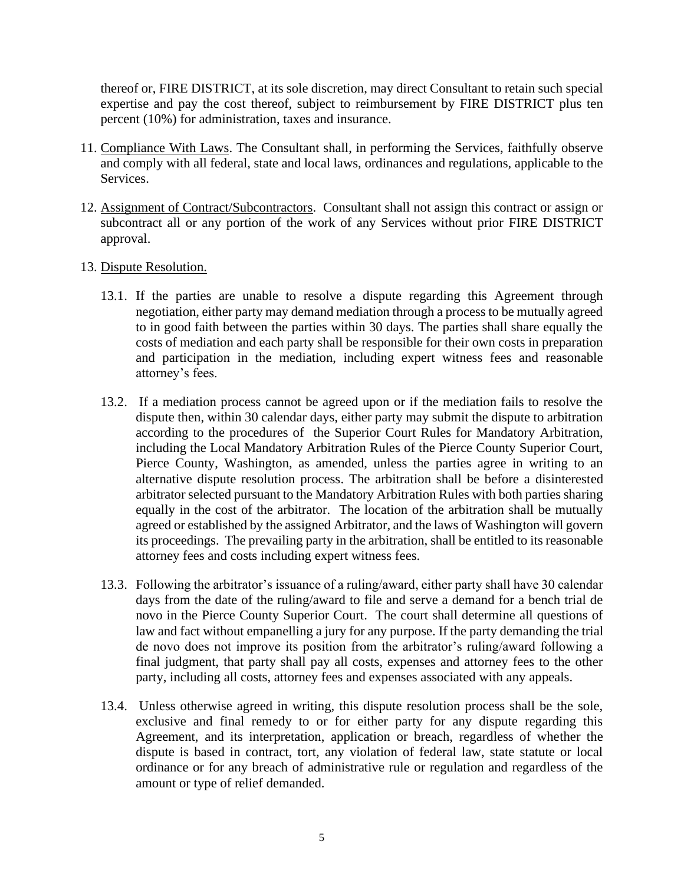thereof or, FIRE DISTRICT, at its sole discretion, may direct Consultant to retain such special expertise and pay the cost thereof, subject to reimbursement by FIRE DISTRICT plus ten percent (10%) for administration, taxes and insurance.

- 11. Compliance With Laws. The Consultant shall, in performing the Services, faithfully observe and comply with all federal, state and local laws, ordinances and regulations, applicable to the Services.
- 12. Assignment of Contract/Subcontractors. Consultant shall not assign this contract or assign or subcontract all or any portion of the work of any Services without prior FIRE DISTRICT approval.
- 13. Dispute Resolution.
	- 13.1. If the parties are unable to resolve a dispute regarding this Agreement through negotiation, either party may demand mediation through a process to be mutually agreed to in good faith between the parties within 30 days. The parties shall share equally the costs of mediation and each party shall be responsible for their own costs in preparation and participation in the mediation, including expert witness fees and reasonable attorney's fees.
	- 13.2. If a mediation process cannot be agreed upon or if the mediation fails to resolve the dispute then, within 30 calendar days, either party may submit the dispute to arbitration according to the procedures of the Superior Court Rules for Mandatory Arbitration, including the Local Mandatory Arbitration Rules of the Pierce County Superior Court, Pierce County, Washington, as amended, unless the parties agree in writing to an alternative dispute resolution process. The arbitration shall be before a disinterested arbitrator selected pursuant to the Mandatory Arbitration Rules with both parties sharing equally in the cost of the arbitrator. The location of the arbitration shall be mutually agreed or established by the assigned Arbitrator, and the laws of Washington will govern its proceedings. The prevailing party in the arbitration, shall be entitled to its reasonable attorney fees and costs including expert witness fees.
	- 13.3. Following the arbitrator's issuance of a ruling/award, either party shall have 30 calendar days from the date of the ruling/award to file and serve a demand for a bench trial de novo in the Pierce County Superior Court. The court shall determine all questions of law and fact without empanelling a jury for any purpose. If the party demanding the trial de novo does not improve its position from the arbitrator's ruling/award following a final judgment, that party shall pay all costs, expenses and attorney fees to the other party, including all costs, attorney fees and expenses associated with any appeals.
	- 13.4. Unless otherwise agreed in writing, this dispute resolution process shall be the sole, exclusive and final remedy to or for either party for any dispute regarding this Agreement, and its interpretation, application or breach, regardless of whether the dispute is based in contract, tort, any violation of federal law, state statute or local ordinance or for any breach of administrative rule or regulation and regardless of the amount or type of relief demanded.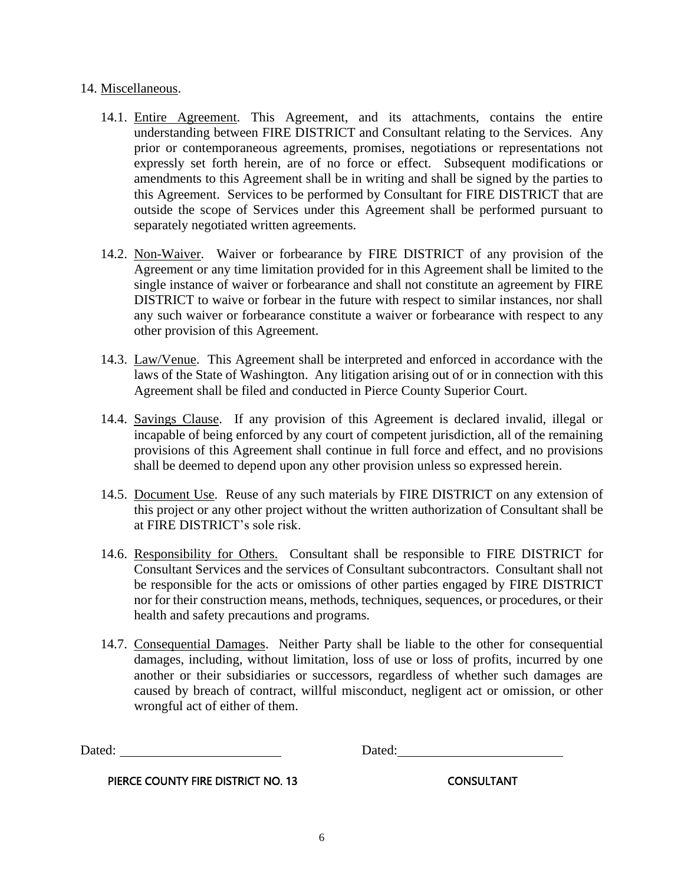#### 14. Miscellaneous.

- 14.1. Entire Agreement. This Agreement, and its attachments, contains the entire understanding between FIRE DISTRICT and Consultant relating to the Services. Any prior or contemporaneous agreements, promises, negotiations or representations not expressly set forth herein, are of no force or effect. Subsequent modifications or amendments to this Agreement shall be in writing and shall be signed by the parties to this Agreement. Services to be performed by Consultant for FIRE DISTRICT that are outside the scope of Services under this Agreement shall be performed pursuant to separately negotiated written agreements.
- 14.2. Non-Waiver. Waiver or forbearance by FIRE DISTRICT of any provision of the Agreement or any time limitation provided for in this Agreement shall be limited to the single instance of waiver or forbearance and shall not constitute an agreement by FIRE DISTRICT to waive or forbear in the future with respect to similar instances, nor shall any such waiver or forbearance constitute a waiver or forbearance with respect to any other provision of this Agreement.
- 14.3. Law/Venue. This Agreement shall be interpreted and enforced in accordance with the laws of the State of Washington. Any litigation arising out of or in connection with this Agreement shall be filed and conducted in Pierce County Superior Court.
- 14.4. Savings Clause. If any provision of this Agreement is declared invalid, illegal or incapable of being enforced by any court of competent jurisdiction, all of the remaining provisions of this Agreement shall continue in full force and effect, and no provisions shall be deemed to depend upon any other provision unless so expressed herein.
- 14.5. Document Use. Reuse of any such materials by FIRE DISTRICT on any extension of this project or any other project without the written authorization of Consultant shall be at FIRE DISTRICT's sole risk.
- 14.6. Responsibility for Others. Consultant shall be responsible to FIRE DISTRICT for Consultant Services and the services of Consultant subcontractors. Consultant shall not be responsible for the acts or omissions of other parties engaged by FIRE DISTRICT nor for their construction means, methods, techniques, sequences, or procedures, or their health and safety precautions and programs.
- 14.7. Consequential Damages. Neither Party shall be liable to the other for consequential damages, including, without limitation, loss of use or loss of profits, incurred by one another or their subsidiaries or successors, regardless of whether such damages are caused by breach of contract, willful misconduct, negligent act or omission, or other wrongful act of either of them.

Dated: Dated: Dated:

PIERCE COUNTY FIRE DISTRICT NO. 13 CONSULTANT